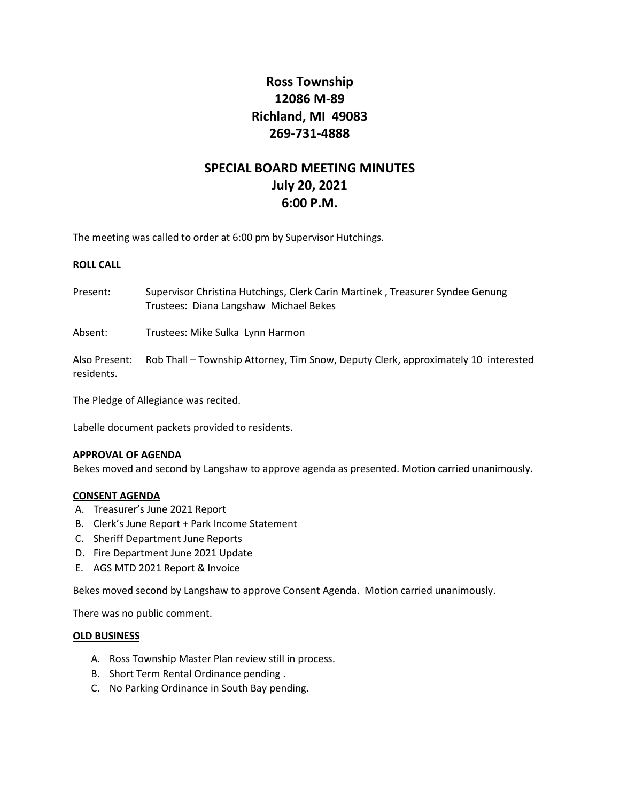# **Ross Township 12086 M-89 Richland, MI 49083 269-731-4888**

# **SPECIAL BOARD MEETING MINUTES July 20, 2021 6:00 P.M.**

The meeting was called to order at 6:00 pm by Supervisor Hutchings.

## **ROLL CALL**

Present: Supervisor Christina Hutchings, Clerk Carin Martinek , Treasurer Syndee Genung Trustees: Diana Langshaw Michael Bekes

Absent: Trustees: Mike Sulka Lynn Harmon

Also Present: Rob Thall – Township Attorney, Tim Snow, Deputy Clerk, approximately 10 interested residents.

The Pledge of Allegiance was recited.

Labelle document packets provided to residents.

#### **APPROVAL OF AGENDA**

Bekes moved and second by Langshaw to approve agenda as presented. Motion carried unanimously.

#### **CONSENT AGENDA**

- A. Treasurer's June 2021 Report
- B. Clerk's June Report + Park Income Statement
- C. Sheriff Department June Reports
- D. Fire Department June 2021 Update
- E. AGS MTD 2021 Report & Invoice

Bekes moved second by Langshaw to approve Consent Agenda. Motion carried unanimously.

There was no public comment.

## **OLD BUSINESS**

- A. Ross Township Master Plan review still in process.
- B. Short Term Rental Ordinance pending .
- C. No Parking Ordinance in South Bay pending.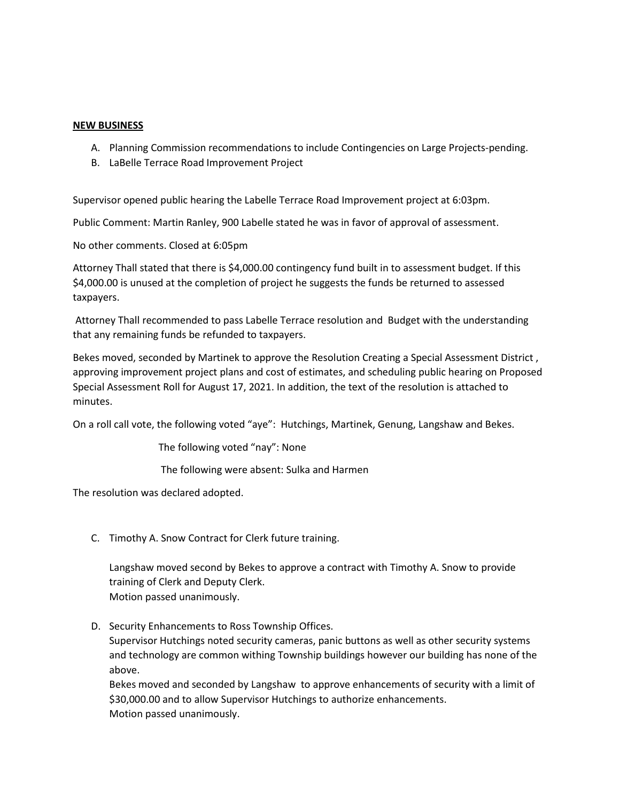## **NEW BUSINESS**

- A. Planning Commission recommendations to include Contingencies on Large Projects-pending.
- B. LaBelle Terrace Road Improvement Project

Supervisor opened public hearing the Labelle Terrace Road Improvement project at 6:03pm.

Public Comment: Martin Ranley, 900 Labelle stated he was in favor of approval of assessment.

No other comments. Closed at 6:05pm

Attorney Thall stated that there is \$4,000.00 contingency fund built in to assessment budget. If this \$4,000.00 is unused at the completion of project he suggests the funds be returned to assessed taxpayers.

Attorney Thall recommended to pass Labelle Terrace resolution and Budget with the understanding that any remaining funds be refunded to taxpayers.

Bekes moved, seconded by Martinek to approve the Resolution Creating a Special Assessment District , approving improvement project plans and cost of estimates, and scheduling public hearing on Proposed Special Assessment Roll for August 17, 2021. In addition, the text of the resolution is attached to minutes.

On a roll call vote, the following voted "aye": Hutchings, Martinek, Genung, Langshaw and Bekes.

The following voted "nay": None

The following were absent: Sulka and Harmen

The resolution was declared adopted.

C. Timothy A. Snow Contract for Clerk future training.

Langshaw moved second by Bekes to approve a contract with Timothy A. Snow to provide training of Clerk and Deputy Clerk. Motion passed unanimously.

D. Security Enhancements to Ross Township Offices.

Supervisor Hutchings noted security cameras, panic buttons as well as other security systems and technology are common withing Township buildings however our building has none of the above.

Bekes moved and seconded by Langshaw to approve enhancements of security with a limit of \$30,000.00 and to allow Supervisor Hutchings to authorize enhancements. Motion passed unanimously.